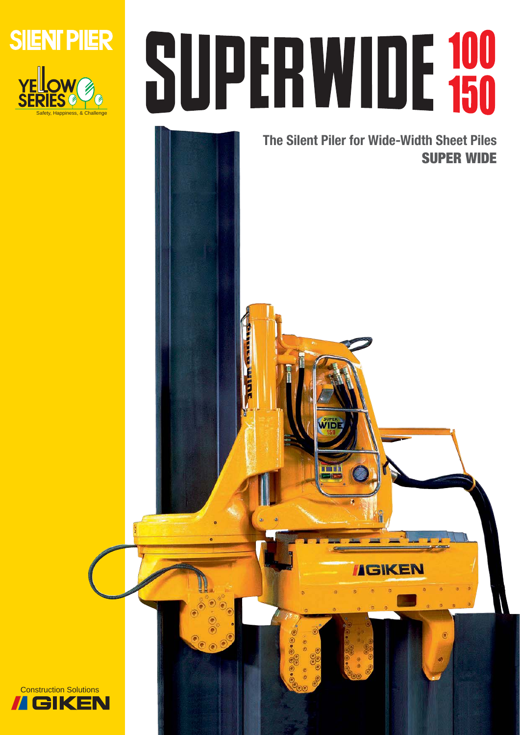

# SUPERWIDE 100

**The Silent Piler for Wide-Width Sheet Piles SUPER WIDE**

**IGIKEN** 

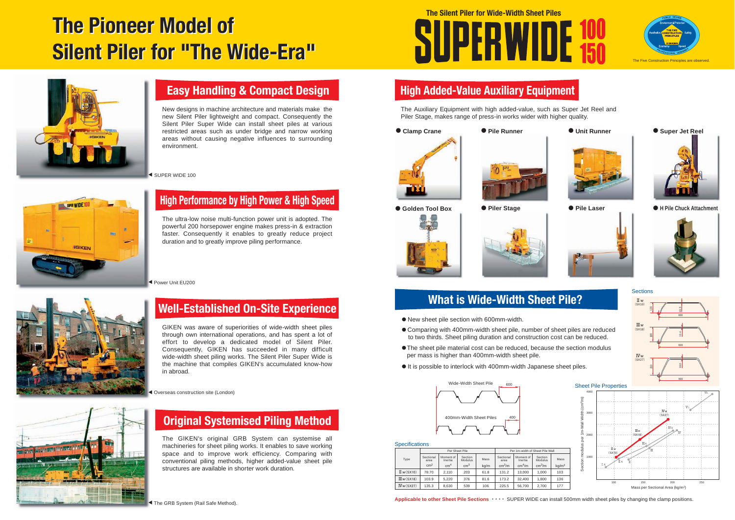|                             | Per Sheet Pile    |                      |                    |      | Per 1m-width of Sheet Pile Wall |                      |                    |                   |
|-----------------------------|-------------------|----------------------|--------------------|------|---------------------------------|----------------------|--------------------|-------------------|
| Type                        | Sectional<br>area | Moment of<br>Inertia | Section<br>Modulus | Mass | Sectional<br>area               | Moment of<br>Inertia | Section<br>Modulus | Mass              |
|                             | cm <sup>2</sup>   | cm <sup>4</sup>      | cm <sup>3</sup>    | kg/m | cm <sup>2</sup> /m              | cm <sup>4</sup> /m   | cm <sup>3</sup> /m | kg/m <sup>2</sup> |
| $\mathbb{I}$ w(SX10)        | 78.70             | 2.110                | 203                | 61.8 | 131.2                           | 13.000               | 1.000              | 103               |
| $\text{I\!I\!I}$ w $(SX18)$ | 103.9             | 5.220                | 376                | 81.6 | 173.2                           | 32.400               | 1.800              | 136               |
| $I\!Vw(SX27)$               | 135.3             | 8,630                | 539                | 106  | 225.5                           | 56.700               | 2.700              | 177               |

**Applicable to other Sheet Pile Sections ••••** SUPER WIDE can install 500mm width sheet piles by changing the clamp positions.

- ・New sheet pile section with 600mm-width.
- ・Comparing with 400mm-width sheet pile, number of sheet piles are reduced to two thirds. Sheet piling duration and construction cost can be reduced.
- **The sheet pile material cost can be reduced, because the section modulus** per mass is higher than 400mm-width sheet pile.
- $\bullet$  It is possible to interlock with 400mm-width Japanese sheet piles.

# **Easy Handling & Compact Design**

# **Original Systemised Piling Method**

# **Well-Established On-Site Experience**

# **High Performance by High Power & High Speed**

# **High Added-Value Auxiliary Equipment**

# **What is Wide-Width Sheet Pile?**

The ultra-low noise multi-function power unit is adopted. The powerful 200 horsepower engine makes press-in & extraction faster. Consequently it enables to greatly reduce project duration and to greatly improve piling performance.

The GIKEN's original GRB System can systemise all machineries for sheet piling works. It enables to save working space and to improve work efficiency. Comparing with conventional piling methods, higher added-value sheet pile structures are available in shorter work duration.

# **The Silent Piler for Wide-Width Sheet Piles**SUPERWIDE







### **Specifications**

GIKEN was aware of superiorities of wide-width sheet piles through own international operations, and has spent a lot of effort to develop a dedicated model of Silent Piler. Consequently, GIKEN has succeeded in many difficult wide-width sheet piling works. The Silent Piler Super Wide is the machine that compiles GIKEN's accumulated know-how in abroad.

New designs in machine architecture and materials make the new Silent Piler lightweight and compact. Consequently the Silent Piler Super Wide can install sheet piles at various restricted areas such as under bridge and narrow working areas without causing negative influences to surrounding environment.

SUPER WIDE 100



The Auxiliary Equipment with high added-value, such as Super Jet Reel and Piler Stage, makes range of press-in works wider with higher quality.







● Golden Tool Box

● Piler Stage **● Pile Laser** 





Ș**Pile Runner**





 $\bullet$  Super Jet Reel



Ș**H Pile Chuck Attachment**



ȐPower Unit EU200





ȐOverseas construction site (London)





# **The Pioneer Model of The Pioneer Model of Silent Piler for "The Wide-Era" Silent Piler for "The Wide-Era"**